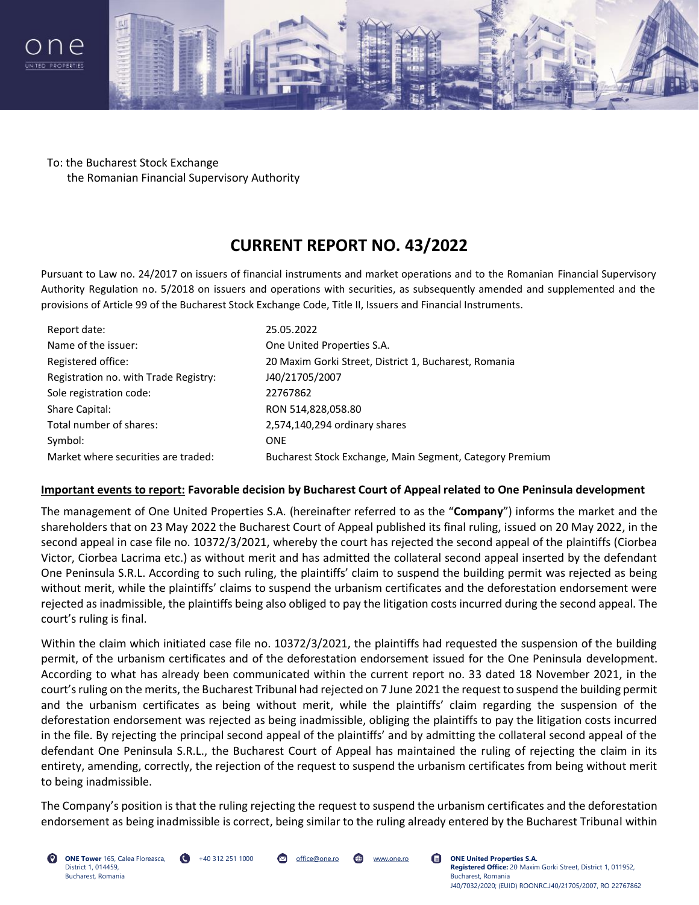



To: the Bucharest Stock Exchange the Romanian Financial Supervisory Authority

## **CURRENT REPORT NO. 43/2022**

Pursuant to Law no. 24/2017 on issuers of financial instruments and market operations and to the Romanian Financial Supervisory Authority Regulation no. 5/2018 on issuers and operations with securities, as subsequently amended and supplemented and the provisions of Article 99 of the Bucharest Stock Exchange Code, Title II, Issuers and Financial Instruments.

| Report date:                          | 25.05.2022                                               |
|---------------------------------------|----------------------------------------------------------|
| Name of the issuer:                   | One United Properties S.A.                               |
| Registered office:                    | 20 Maxim Gorki Street, District 1, Bucharest, Romania    |
| Registration no. with Trade Registry: | J40/21705/2007                                           |
| Sole registration code:               | 22767862                                                 |
| Share Capital:                        | RON 514,828,058.80                                       |
| Total number of shares:               | 2,574,140,294 ordinary shares                            |
| Symbol:                               | <b>ONE</b>                                               |
| Market where securities are traded:   | Bucharest Stock Exchange, Main Segment, Category Premium |

## **Important events to report: Favorable decision by Bucharest Court of Appeal related to One Peninsula development**

The management of One United Properties S.A. (hereinafter referred to as the "**Company**") informs the market and the shareholders that on 23 May 2022 the Bucharest Court of Appeal published its final ruling, issued on 20 May 2022, in the second appeal in case file no. 10372/3/2021, whereby the court has rejected the second appeal of the plaintiffs (Ciorbea Victor, Ciorbea Lacrima etc.) as without merit and has admitted the collateral second appeal inserted by the defendant One Peninsula S.R.L. According to such ruling, the plaintiffs' claim to suspend the building permit was rejected as being without merit, while the plaintiffs' claims to suspend the urbanism certificates and the deforestation endorsement were rejected as inadmissible, the plaintiffs being also obliged to pay the litigation costs incurred during the second appeal. The court's ruling is final.

Within the claim which initiated case file no. 10372/3/2021, the plaintiffs had requested the suspension of the building permit, of the urbanism certificates and of the deforestation endorsement issued for the One Peninsula development. According to what has already been communicated within the current report no. 33 dated 18 November 2021, in the court's ruling on the merits, the Bucharest Tribunal had rejected on 7 June 2021 the request to suspend the building permit and the urbanism certificates as being without merit, while the plaintiffs' claim regarding the suspension of the deforestation endorsement was rejected as being inadmissible, obliging the plaintiffs to pay the litigation costs incurred in the file. By rejecting the principal second appeal of the plaintiffs' and by admitting the collateral second appeal of the defendant One Peninsula S.R.L., the Bucharest Court of Appeal has maintained the ruling of rejecting the claim in its entirety, amending, correctly, the rejection of the request to suspend the urbanism certificates from being without merit to being inadmissible.

The Company's position is that the ruling rejecting the request to suspend the urbanism certificates and the deforestation endorsement as being inadmissible is correct, being similar to the ruling already entered by the Bucharest Tribunal within

**ONE Tower** 165, Calea Floreasca, District 1, 014459, Bucharest, Romania